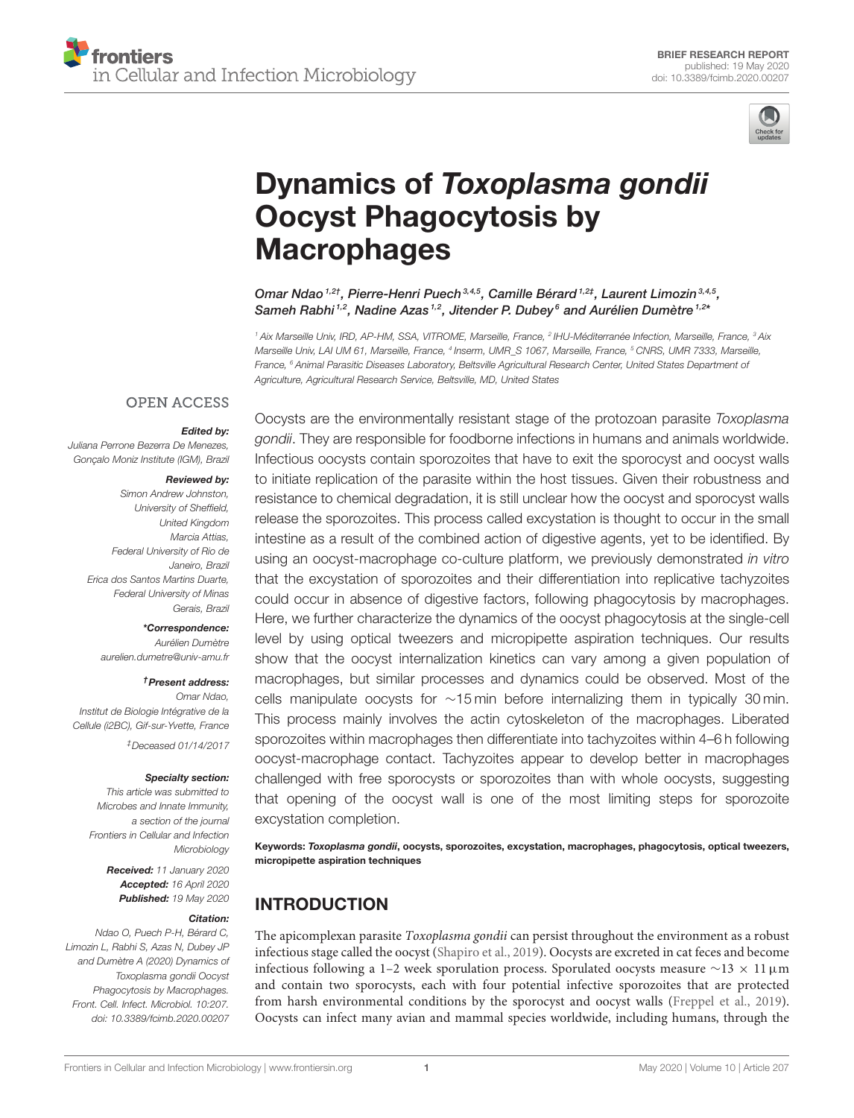

# Dynamics of Toxoplasma gondii [Oocyst Phagocytosis by](https://www.frontiersin.org/articles/10.3389/fcimb.2020.00207/full) **Macrophages**

Omar Ndao 1,2†, [Pierre-Henri Puech](http://loop.frontiersin.org/people/172228/overview) 3,4,5, Camille Bérard <sup>1,2‡</sup>, [Laurent Limozin](http://loop.frontiersin.org/people/604345/overview) <sup>3,4,5</sup>, Sameh Rabhi 1,2, Nadine Azas 1,2, Jitender P. Dubey 6and [Aurélien Dumètre](http://loop.frontiersin.org/people/343727/overview) 1,2\*

<sup>1</sup> Aix Marseille Univ, IRD, AP-HM, SSA, VITROME, Marseille, France, <sup>2</sup> IHU-Méditerranée Infection, Marseille, France, <sup>3</sup> Aix Marseille Univ, LAI UM 61, Marseille, France, <sup>4</sup> Inserm, UMR\_S 1067, Marseille, France, <sup>s</sup> CNRS, UMR 7333, Marseille, France, <sup>6</sup> Animal Parasitic Diseases Laboratory, Beltsville Agricultural Research Center, United States Department of Agriculture, Agricultural Research Service, Beltsville, MD, United States

#### **OPEN ACCESS**

#### Edited by:

Juliana Perrone Bezerra De Menezes, Gonçalo Moniz Institute (IGM), Brazil

#### Reviewed by:

Simon Andrew Johnston, University of Sheffield, United Kingdom Marcia Attias, Federal University of Rio de Janeiro, Brazil Erica dos Santos Martins Duarte, Federal University of Minas Gerais, Brazil

#### \*Correspondence:

Aurélien Dumètre [aurelien.dumetre@univ-amu.fr](mailto:aurelien.dumetre@univ-amu.fr)

#### †Present address:

Omar Ndao, Institut de Biologie Intégrative de la Cellule (i2BC), Gif-sur-Yvette, France ‡Deceased 01/14/2017

#### Specialty section:

This article was submitted to Microbes and Innate Immunity, a section of the journal Frontiers in Cellular and Infection Microbiology

> Received: 11 January 2020 Accepted: 16 April 2020 Published: 19 May 2020

#### Citation:

Ndao O, Puech P-H, Bérard C, Limozin L, Rabhi S, Azas N, Dubey JP and Dumètre A (2020) Dynamics of Toxoplasma gondii Oocyst Phagocytosis by Macrophages. Front. Cell. Infect. Microbiol. 10:207. doi: [10.3389/fcimb.2020.00207](https://doi.org/10.3389/fcimb.2020.00207)

Oocysts are the environmentally resistant stage of the protozoan parasite Toxoplasma gondii. They are responsible for foodborne infections in humans and animals worldwide. Infectious oocysts contain sporozoites that have to exit the sporocyst and oocyst walls to initiate replication of the parasite within the host tissues. Given their robustness and resistance to chemical degradation, it is still unclear how the oocyst and sporocyst walls release the sporozoites. This process called excystation is thought to occur in the small intestine as a result of the combined action of digestive agents, yet to be identified. By using an oocyst-macrophage co-culture platform, we previously demonstrated in vitro that the excystation of sporozoites and their differentiation into replicative tachyzoites could occur in absence of digestive factors, following phagocytosis by macrophages. Here, we further characterize the dynamics of the oocyst phagocytosis at the single-cell level by using optical tweezers and micropipette aspiration techniques. Our results show that the oocyst internalization kinetics can vary among a given population of macrophages, but similar processes and dynamics could be observed. Most of the cells manipulate oocysts for ∼15 min before internalizing them in typically 30 min. This process mainly involves the actin cytoskeleton of the macrophages. Liberated sporozoites within macrophages then differentiate into tachyzoites within 4–6 h following oocyst-macrophage contact. Tachyzoites appear to develop better in macrophages challenged with free sporocysts or sporozoites than with whole oocysts, suggesting that opening of the oocyst wall is one of the most limiting steps for sporozoite excystation completion.

Keywords: Toxoplasma gondii, oocysts, sporozoites, excystation, macrophages, phagocytosis, optical tweezers, micropipette aspiration techniques

# INTRODUCTION

The apicomplexan parasite *Toxoplasma gondii* can persist throughout the environment as a robust infectious stage called the oocyst [\(Shapiro et al., 2019\)](#page-8-0). Oocysts are excreted in cat feces and become infectious following a 1–2 week sporulation process. Sporulated oocysts measure  $\sim$ 13 × 11 $\mu$ m and contain two sporocysts, each with four potential infective sporozoites that are protected from harsh environmental conditions by the sporocyst and oocyst walls [\(Freppel et al., 2019\)](#page-8-1). Oocysts can infect many avian and mammal species worldwide, including humans, through the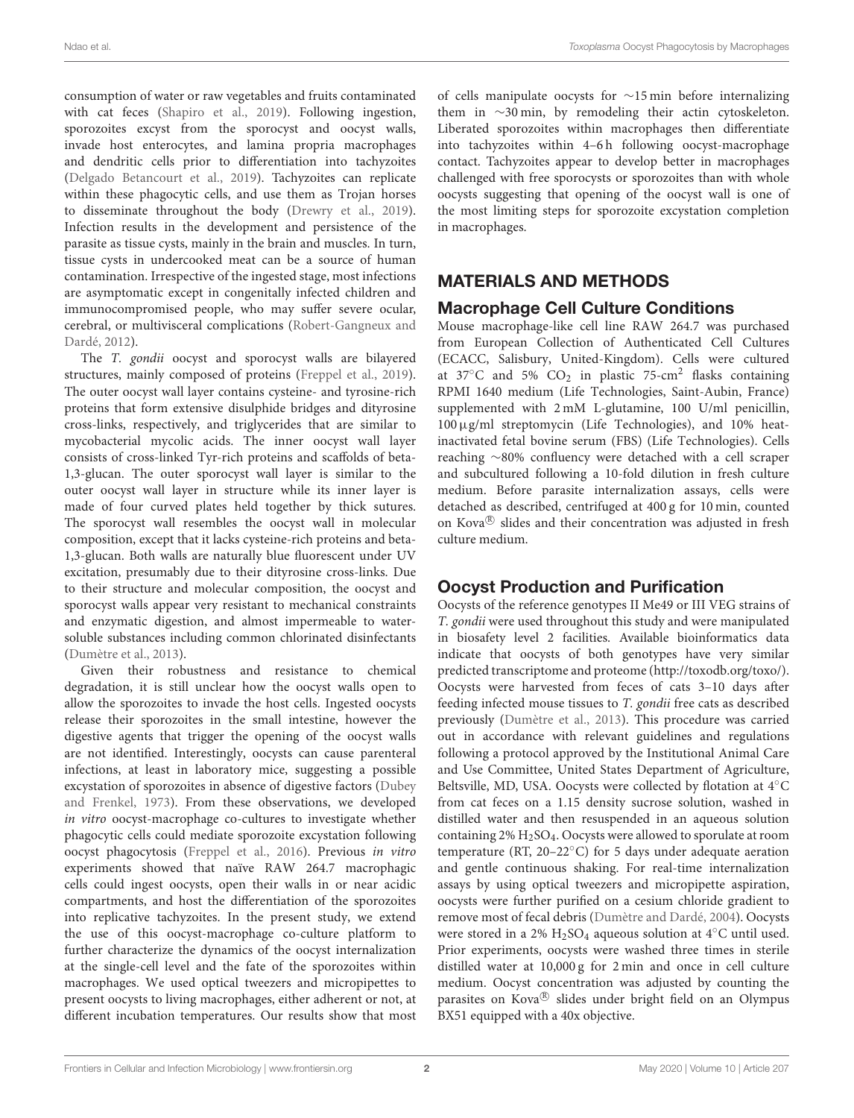consumption of water or raw vegetables and fruits contaminated with cat feces [\(Shapiro et al., 2019\)](#page-8-0). Following ingestion, sporozoites excyst from the sporocyst and oocyst walls, invade host enterocytes, and lamina propria macrophages and dendritic cells prior to differentiation into tachyzoites [\(Delgado Betancourt et al., 2019\)](#page-8-2). Tachyzoites can replicate within these phagocytic cells, and use them as Trojan horses to disseminate throughout the body [\(Drewry et al., 2019\)](#page-8-3). Infection results in the development and persistence of the parasite as tissue cysts, mainly in the brain and muscles. In turn, tissue cysts in undercooked meat can be a source of human contamination. Irrespective of the ingested stage, most infections are asymptomatic except in congenitally infected children and immunocompromised people, who may suffer severe ocular, cerebral, or multivisceral complications (Robert-Gangneux and Dardé, [2012\)](#page-8-4).

The T. gondii oocyst and sporocyst walls are bilayered structures, mainly composed of proteins [\(Freppel et al., 2019\)](#page-8-1). The outer oocyst wall layer contains cysteine- and tyrosine-rich proteins that form extensive disulphide bridges and dityrosine cross-links, respectively, and triglycerides that are similar to mycobacterial mycolic acids. The inner oocyst wall layer consists of cross-linked Tyr-rich proteins and scaffolds of beta-1,3-glucan. The outer sporocyst wall layer is similar to the outer oocyst wall layer in structure while its inner layer is made of four curved plates held together by thick sutures. The sporocyst wall resembles the oocyst wall in molecular composition, except that it lacks cysteine-rich proteins and beta-1,3-glucan. Both walls are naturally blue fluorescent under UV excitation, presumably due to their dityrosine cross-links. Due to their structure and molecular composition, the oocyst and sporocyst walls appear very resistant to mechanical constraints and enzymatic digestion, and almost impermeable to watersoluble substances including common chlorinated disinfectants [\(Dumètre et al., 2013\)](#page-8-5).

Given their robustness and resistance to chemical degradation, it is still unclear how the oocyst walls open to allow the sporozoites to invade the host cells. Ingested oocysts release their sporozoites in the small intestine, however the digestive agents that trigger the opening of the oocyst walls are not identified. Interestingly, oocysts can cause parenteral infections, at least in laboratory mice, suggesting a possible excystation of sporozoites in absence of digestive factors (Dubey and Frenkel, [1973\)](#page-8-6). From these observations, we developed in vitro oocyst-macrophage co-cultures to investigate whether phagocytic cells could mediate sporozoite excystation following oocyst phagocytosis [\(Freppel et al., 2016\)](#page-8-7). Previous in vitro experiments showed that naïve RAW 264.7 macrophagic cells could ingest oocysts, open their walls in or near acidic compartments, and host the differentiation of the sporozoites into replicative tachyzoites. In the present study, we extend the use of this oocyst-macrophage co-culture platform to further characterize the dynamics of the oocyst internalization at the single-cell level and the fate of the sporozoites within macrophages. We used optical tweezers and micropipettes to present oocysts to living macrophages, either adherent or not, at different incubation temperatures. Our results show that most of cells manipulate oocysts for ∼15 min before internalizing them in ∼30 min, by remodeling their actin cytoskeleton. Liberated sporozoites within macrophages then differentiate into tachyzoites within 4–6 h following oocyst-macrophage contact. Tachyzoites appear to develop better in macrophages challenged with free sporocysts or sporozoites than with whole oocysts suggesting that opening of the oocyst wall is one of the most limiting steps for sporozoite excystation completion in macrophages.

### MATERIALS AND METHODS

#### Macrophage Cell Culture Conditions

Mouse macrophage-like cell line RAW 264.7 was purchased from European Collection of Authenticated Cell Cultures (ECACC, Salisbury, United-Kingdom). Cells were cultured at 37 $\degree$ C and 5% CO<sub>2</sub> in plastic 75-cm<sup>2</sup> flasks containing RPMI 1640 medium (Life Technologies, Saint-Aubin, France) supplemented with 2 mM L-glutamine, 100 U/ml penicillin, 100µg/ml streptomycin (Life Technologies), and 10% heatinactivated fetal bovine serum (FBS) (Life Technologies). Cells reaching ∼80% confluency were detached with a cell scraper and subcultured following a 10-fold dilution in fresh culture medium. Before parasite internalization assays, cells were detached as described, centrifuged at 400 g for 10 min, counted on Kova® slides and their concentration was adjusted in fresh culture medium.

# Oocyst Production and Purification

Oocysts of the reference genotypes II Me49 or III VEG strains of T. gondii were used throughout this study and were manipulated in biosafety level 2 facilities. Available bioinformatics data indicate that oocysts of both genotypes have very similar predicted transcriptome and proteome [\(http://toxodb.org/toxo/\)](http://toxodb.org/toxo/). Oocysts were harvested from feces of cats 3–10 days after feeding infected mouse tissues to T. gondii free cats as described previously [\(Dumètre et al., 2013\)](#page-8-5). This procedure was carried out in accordance with relevant guidelines and regulations following a protocol approved by the Institutional Animal Care and Use Committee, United States Department of Agriculture, Beltsville, MD, USA. Oocysts were collected by flotation at 4◦C from cat feces on a 1.15 density sucrose solution, washed in distilled water and then resuspended in an aqueous solution containing 2% H2SO4. Oocysts were allowed to sporulate at room temperature (RT, 20–22◦C) for 5 days under adequate aeration and gentle continuous shaking. For real-time internalization assays by using optical tweezers and micropipette aspiration, oocysts were further purified on a cesium chloride gradient to remove most of fecal debris [\(Dumètre and Dardé, 2004\)](#page-8-8). Oocysts were stored in a 2%  $H<sub>2</sub>SO<sub>4</sub>$  aqueous solution at 4 $°C$  until used. Prior experiments, oocysts were washed three times in sterile distilled water at 10,000 g for 2 min and once in cell culture medium. Oocyst concentration was adjusted by counting the parasites on Kova® slides under bright field on an Olympus BX51 equipped with a 40x objective.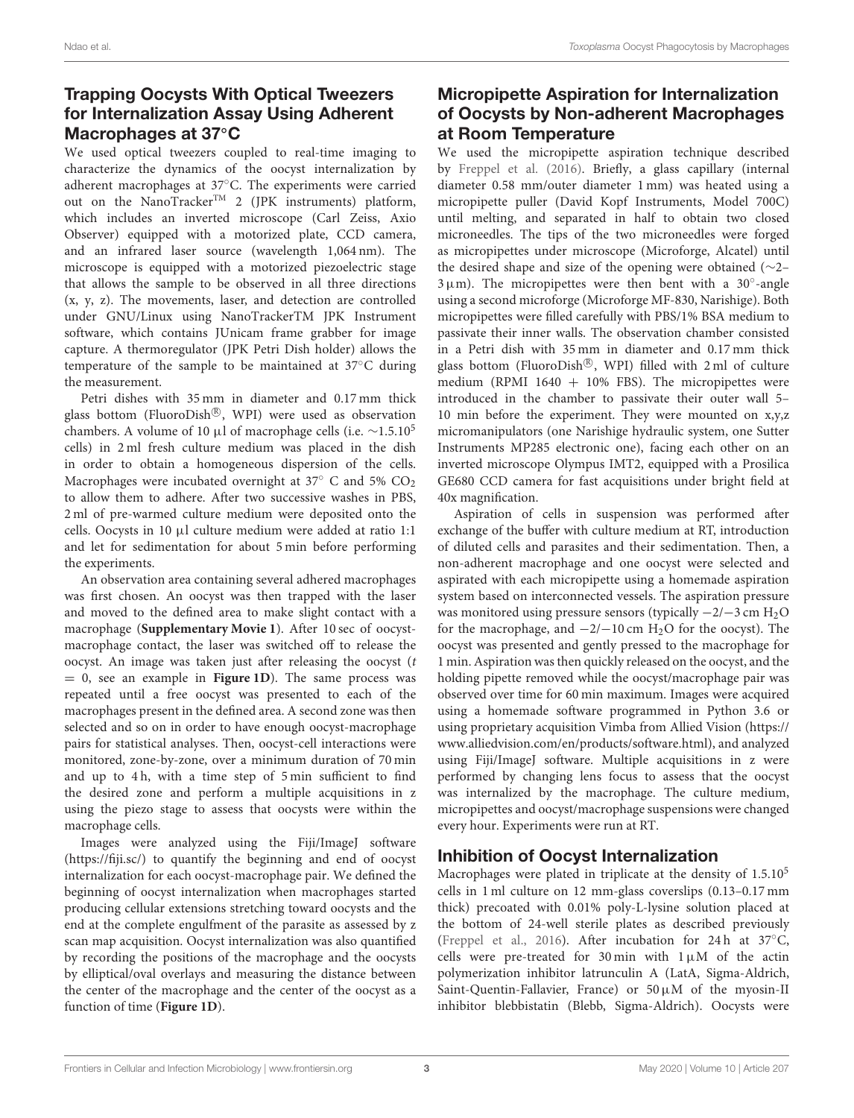# Trapping Oocysts With Optical Tweezers for Internalization Assay Using Adherent Macrophages at 37<sup>◦</sup>C

We used optical tweezers coupled to real-time imaging to characterize the dynamics of the oocyst internalization by adherent macrophages at 37◦C. The experiments were carried out on the NanoTracker<sup>TM</sup> 2 (JPK instruments) platform, which includes an inverted microscope (Carl Zeiss, Axio Observer) equipped with a motorized plate, CCD camera, and an infrared laser source (wavelength 1,064 nm). The microscope is equipped with a motorized piezoelectric stage that allows the sample to be observed in all three directions (x, y, z). The movements, laser, and detection are controlled under GNU/Linux using NanoTrackerTM JPK Instrument software, which contains JUnicam frame grabber for image capture. A thermoregulator (JPK Petri Dish holder) allows the temperature of the sample to be maintained at 37◦C during the measurement.

Petri dishes with 35 mm in diameter and 0.17 mm thick glass bottom (FluoroDish®, WPI) were used as observation chambers. A volume of 10 µl of macrophage cells (i.e.  $\sim$ 1.5.10<sup>5</sup> cells) in 2 ml fresh culture medium was placed in the dish in order to obtain a homogeneous dispersion of the cells. Macrophages were incubated overnight at 37 $\degree$  C and 5% CO<sub>2</sub> to allow them to adhere. After two successive washes in PBS, 2 ml of pre-warmed culture medium were deposited onto the cells. Oocysts in 10 µl culture medium were added at ratio 1:1 and let for sedimentation for about 5 min before performing the experiments.

An observation area containing several adhered macrophages was first chosen. An oocyst was then trapped with the laser and moved to the defined area to make slight contact with a macrophage (**[Supplementary Movie 1](#page-7-0)**). After 10 sec of oocystmacrophage contact, the laser was switched off to release the oocyst. An image was taken just after releasing the oocyst  $(t)$ = 0, see an example in **[Figure 1D](#page-3-0)**). The same process was repeated until a free oocyst was presented to each of the macrophages present in the defined area. A second zone was then selected and so on in order to have enough oocyst-macrophage pairs for statistical analyses. Then, oocyst-cell interactions were monitored, zone-by-zone, over a minimum duration of 70 min and up to 4 h, with a time step of 5 min sufficient to find the desired zone and perform a multiple acquisitions in z using the piezo stage to assess that oocysts were within the macrophage cells.

Images were analyzed using the Fiji/ImageJ software [\(https://fiji.sc/\)](https://fiji.sc/) to quantify the beginning and end of oocyst internalization for each oocyst-macrophage pair. We defined the beginning of oocyst internalization when macrophages started producing cellular extensions stretching toward oocysts and the end at the complete engulfment of the parasite as assessed by z scan map acquisition. Oocyst internalization was also quantified by recording the positions of the macrophage and the oocysts by elliptical/oval overlays and measuring the distance between the center of the macrophage and the center of the oocyst as a function of time (**[Figure 1D](#page-3-0)**).

# Micropipette Aspiration for Internalization of Oocysts by Non-adherent Macrophages at Room Temperature

We used the micropipette aspiration technique described by [Freppel et al. \(2016\)](#page-8-7). Briefly, a glass capillary (internal diameter 0.58 mm/outer diameter 1 mm) was heated using a micropipette puller (David Kopf Instruments, Model 700C) until melting, and separated in half to obtain two closed microneedles. The tips of the two microneedles were forged as micropipettes under microscope (Microforge, Alcatel) until the desired shape and size of the opening were obtained (∼2–  $3 \mu$ m). The micropipettes were then bent with a  $30^\circ$ -angle using a second microforge (Microforge MF-830, Narishige). Both micropipettes were filled carefully with PBS/1% BSA medium to passivate their inner walls. The observation chamber consisted in a Petri dish with 35 mm in diameter and 0.17 mm thick glass bottom (FluoroDish<sup>®</sup>, WPI) filled with 2 ml of culture medium (RPMI  $1640 + 10\%$  FBS). The micropipettes were introduced in the chamber to passivate their outer wall 5– 10 min before the experiment. They were mounted on x,y,z micromanipulators (one Narishige hydraulic system, one Sutter Instruments MP285 electronic one), facing each other on an inverted microscope Olympus IMT2, equipped with a Prosilica GE680 CCD camera for fast acquisitions under bright field at 40x magnification.

Aspiration of cells in suspension was performed after exchange of the buffer with culture medium at RT, introduction of diluted cells and parasites and their sedimentation. Then, a non-adherent macrophage and one oocyst were selected and aspirated with each micropipette using a homemade aspiration system based on interconnected vessels. The aspiration pressure was monitored using pressure sensors (typically −2/−3 cm H2O for the macrophage, and  $-2/-10$  cm H<sub>2</sub>O for the oocyst). The oocyst was presented and gently pressed to the macrophage for 1 min. Aspiration was then quickly released on the oocyst, and the holding pipette removed while the oocyst/macrophage pair was observed over time for 60 min maximum. Images were acquired using a homemade software programmed in Python 3.6 or using proprietary acquisition Vimba from Allied Vision [\(https://](https://www.alliedvision.com/en/products/software.html) [www.alliedvision.com/en/products/software.html\)](https://www.alliedvision.com/en/products/software.html), and analyzed using Fiji/ImageJ software. Multiple acquisitions in z were performed by changing lens focus to assess that the oocyst was internalized by the macrophage. The culture medium, micropipettes and oocyst/macrophage suspensions were changed every hour. Experiments were run at RT.

# Inhibition of Oocyst Internalization

Macrophages were plated in triplicate at the density of  $1.5.10<sup>5</sup>$ cells in 1 ml culture on 12 mm-glass coverslips (0.13–0.17 mm thick) precoated with 0.01% poly-L-lysine solution placed at the bottom of 24-well sterile plates as described previously [\(Freppel et al., 2016\)](#page-8-7). After incubation for 24 h at 37◦C, cells were pre-treated for 30 min with  $1 \mu M$  of the actin polymerization inhibitor latrunculin A (LatA, Sigma-Aldrich, Saint-Quentin-Fallavier, France) or 50µM of the myosin-II inhibitor blebbistatin (Blebb, Sigma-Aldrich). Oocysts were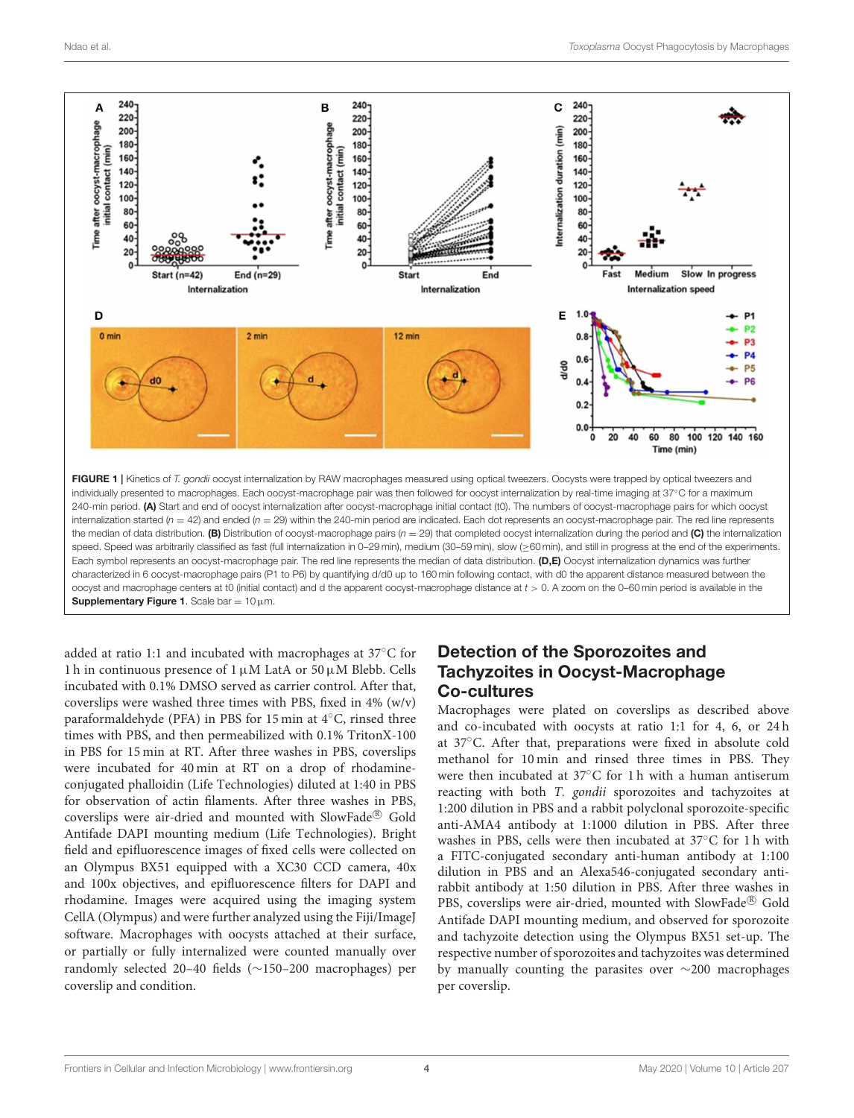

<span id="page-3-0"></span>added at ratio 1:1 and incubated with macrophages at 37◦C for 1 h in continuous presence of 1  $\mu$ M LatA or 50  $\mu$ M Blebb. Cells incubated with 0.1% DMSO served as carrier control. After that, coverslips were washed three times with PBS, fixed in 4% (w/v) paraformaldehyde (PFA) in PBS for 15 min at 4◦C, rinsed three times with PBS, and then permeabilized with 0.1% TritonX-100 in PBS for 15 min at RT. After three washes in PBS, coverslips were incubated for 40 min at RT on a drop of rhodamineconjugated phalloidin (Life Technologies) diluted at 1:40 in PBS for observation of actin filaments. After three washes in PBS, coverslips were air-dried and mounted with SlowFade® Gold Antifade DAPI mounting medium (Life Technologies). Bright field and epifluorescence images of fixed cells were collected on an Olympus BX51 equipped with a XC30 CCD camera, 40x and 100x objectives, and epifluorescence filters for DAPI and rhodamine. Images were acquired using the imaging system CellA (Olympus) and were further analyzed using the Fiji/ImageJ software. Macrophages with oocysts attached at their surface, or partially or fully internalized were counted manually over randomly selected 20–40 fields (∼150–200 macrophages) per coverslip and condition.

### Detection of the Sporozoites and Tachyzoites in Oocyst-Macrophage Co-cultures

Macrophages were plated on coverslips as described above and co-incubated with oocysts at ratio 1:1 for 4, 6, or 24 h at 37◦C. After that, preparations were fixed in absolute cold methanol for 10 min and rinsed three times in PBS. They were then incubated at 37◦C for 1 h with a human antiserum reacting with both T. gondii sporozoites and tachyzoites at 1:200 dilution in PBS and a rabbit polyclonal sporozoite-specific anti-AMA4 antibody at 1:1000 dilution in PBS. After three washes in PBS, cells were then incubated at 37◦C for 1 h with a FITC-conjugated secondary anti-human antibody at 1:100 dilution in PBS and an Alexa546-conjugated secondary antirabbit antibody at 1:50 dilution in PBS. After three washes in PBS, coverslips were air-dried, mounted with SlowFade® Gold Antifade DAPI mounting medium, and observed for sporozoite and tachyzoite detection using the Olympus BX51 set-up. The respective number of sporozoites and tachyzoites was determined by manually counting the parasites over ∼200 macrophages per coverslip.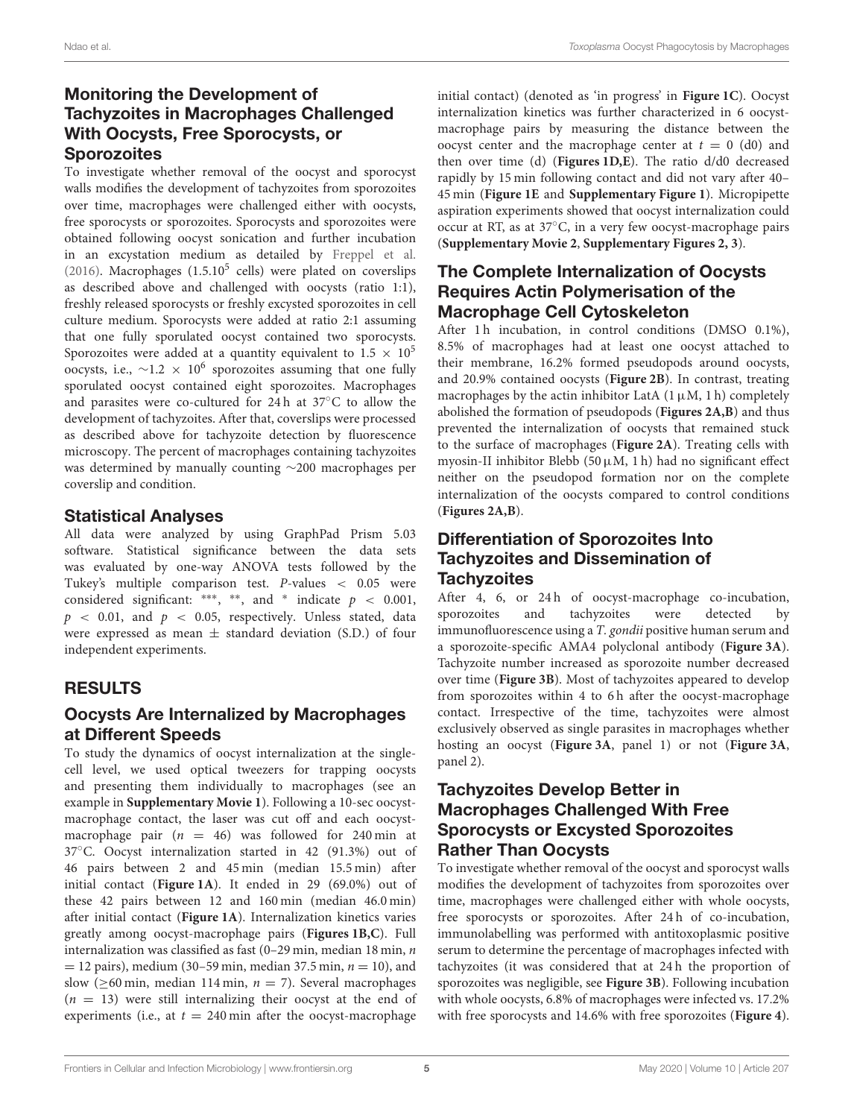### Monitoring the Development of Tachyzoites in Macrophages Challenged With Oocysts, Free Sporocysts, or **Sporozoites**

To investigate whether removal of the oocyst and sporocyst walls modifies the development of tachyzoites from sporozoites over time, macrophages were challenged either with oocysts, free sporocysts or sporozoites. Sporocysts and sporozoites were obtained following oocyst sonication and further incubation in an excystation medium as detailed by [Freppel et al.](#page-8-7) [\(2016\)](#page-8-7). Macrophages  $(1.5.10^5$  cells) were plated on coverslips as described above and challenged with oocysts (ratio 1:1), freshly released sporocysts or freshly excysted sporozoites in cell culture medium. Sporocysts were added at ratio 2:1 assuming that one fully sporulated oocyst contained two sporocysts. Sporozoites were added at a quantity equivalent to  $1.5 \times 10^5$ oocysts, i.e.,  $\sim$ 1.2 × 10<sup>6</sup> sporozoites assuming that one fully sporulated oocyst contained eight sporozoites. Macrophages and parasites were co-cultured for 24 h at 37◦C to allow the development of tachyzoites. After that, coverslips were processed as described above for tachyzoite detection by fluorescence microscopy. The percent of macrophages containing tachyzoites was determined by manually counting ∼200 macrophages per coverslip and condition.

### Statistical Analyses

All data were analyzed by using GraphPad Prism 5.03 software. Statistical significance between the data sets was evaluated by one-way ANOVA tests followed by the Tukey's multiple comparison test. P-values < 0.05 were considered significant: \*\*\*, \*\*, and \* indicate  $p < 0.001$ ,  $p \sim 0.01$ , and  $p \sim 0.05$ , respectively. Unless stated, data were expressed as mean  $\pm$  standard deviation (S.D.) of four independent experiments.

# RESULTS

# Oocysts Are Internalized by Macrophages at Different Speeds

To study the dynamics of oocyst internalization at the singlecell level, we used optical tweezers for trapping oocysts and presenting them individually to macrophages (see an example in **[Supplementary Movie 1](#page-7-0)**). Following a 10-sec oocystmacrophage contact, the laser was cut off and each oocystmacrophage pair  $(n = 46)$  was followed for 240 min at 37◦C. Oocyst internalization started in 42 (91.3%) out of 46 pairs between 2 and 45 min (median 15.5 min) after initial contact (**[Figure 1A](#page-3-0)**). It ended in 29 (69.0%) out of these 42 pairs between 12 and 160 min (median 46.0 min) after initial contact (**[Figure 1A](#page-3-0)**). Internalization kinetics varies greatly among oocyst-macrophage pairs (**[Figures 1B,C](#page-3-0)**). Full internalization was classified as fast (0–29 min, median 18 min,  $n$ )  $= 12$  pairs), medium (30–59 min, median 37.5 min,  $n = 10$ ), and slow ( $\geq 60$  min, median 114 min,  $n = 7$ ). Several macrophages  $(n = 13)$  were still internalizing their oocyst at the end of experiments (i.e., at  $t = 240$  min after the oocyst-macrophage initial contact) (denoted as 'in progress' in **[Figure 1C](#page-3-0)**). Oocyst internalization kinetics was further characterized in 6 oocystmacrophage pairs by measuring the distance between the oocyst center and the macrophage center at  $t = 0$  (d0) and then over time (d) (**[Figures 1D,E](#page-3-0)**). The ratio d/d0 decreased rapidly by 15 min following contact and did not vary after 40– 45 min (**[Figure 1E](#page-3-0)** and **[Supplementary Figure 1](#page-7-0)**). Micropipette aspiration experiments showed that oocyst internalization could occur at RT, as at 37◦C, in a very few oocyst-macrophage pairs (**[Supplementary Movie 2](#page-7-0)**, **[Supplementary Figures 2, 3](#page-7-0)**).

# The Complete Internalization of Oocysts Requires Actin Polymerisation of the Macrophage Cell Cytoskeleton

After 1 h incubation, in control conditions (DMSO 0.1%), 8.5% of macrophages had at least one oocyst attached to their membrane, 16.2% formed pseudopods around oocysts, and 20.9% contained oocysts (**[Figure 2B](#page-5-0)**). In contrast, treating macrophages by the actin inhibitor LatA  $(1 \mu M, 1 h)$  completely abolished the formation of pseudopods (**[Figures 2A,B](#page-5-0)**) and thus prevented the internalization of oocysts that remained stuck to the surface of macrophages (**[Figure 2A](#page-5-0)**). Treating cells with myosin-II inhibitor Blebb (50 $\mu$ M, 1 h) had no significant effect neither on the pseudopod formation nor on the complete internalization of the oocysts compared to control conditions (**[Figures 2A,B](#page-5-0)**).

### Differentiation of Sporozoites Into Tachyzoites and Dissemination of **Tachyzoites**

After 4, 6, or 24h of oocyst-macrophage co-incubation, sporozoites and tachyzoites were detected by immunofluorescence using a T. gondii positive human serum and a sporozoite-specific AMA4 polyclonal antibody (**[Figure 3A](#page-6-0)**). Tachyzoite number increased as sporozoite number decreased over time (**[Figure 3B](#page-6-0)**). Most of tachyzoites appeared to develop from sporozoites within 4 to 6h after the oocyst-macrophage contact. Irrespective of the time, tachyzoites were almost exclusively observed as single parasites in macrophages whether hosting an oocyst (**[Figure 3A](#page-6-0)**, panel 1) or not (**[Figure 3A](#page-6-0)**, panel 2).

### Tachyzoites Develop Better in Macrophages Challenged With Free Sporocysts or Excysted Sporozoites Rather Than Oocysts

To investigate whether removal of the oocyst and sporocyst walls modifies the development of tachyzoites from sporozoites over time, macrophages were challenged either with whole oocysts, free sporocysts or sporozoites. After 24 h of co-incubation, immunolabelling was performed with antitoxoplasmic positive serum to determine the percentage of macrophages infected with tachyzoites (it was considered that at 24 h the proportion of sporozoites was negligible, see **[Figure 3B](#page-6-0)**). Following incubation with whole oocysts, 6.8% of macrophages were infected vs. 17.2% with free sporocysts and 14.6% with free sporozoites (**[Figure 4](#page-6-1)**).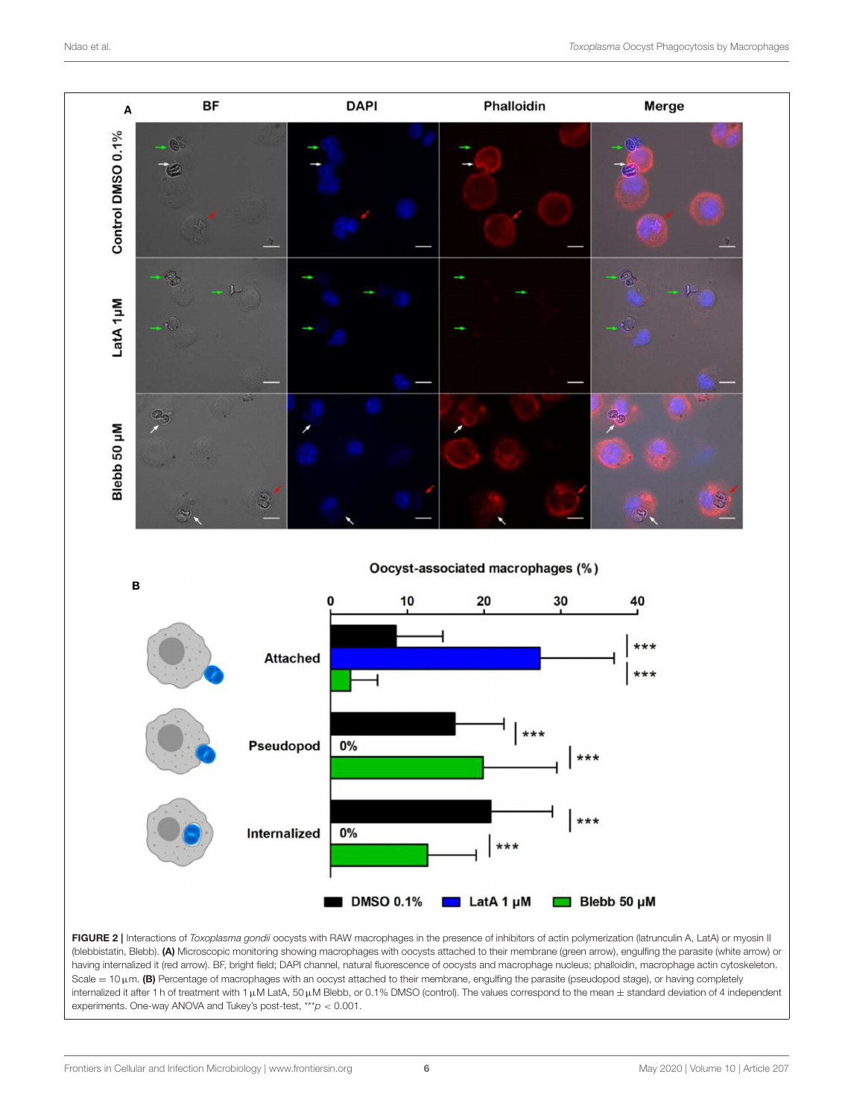<span id="page-5-0"></span>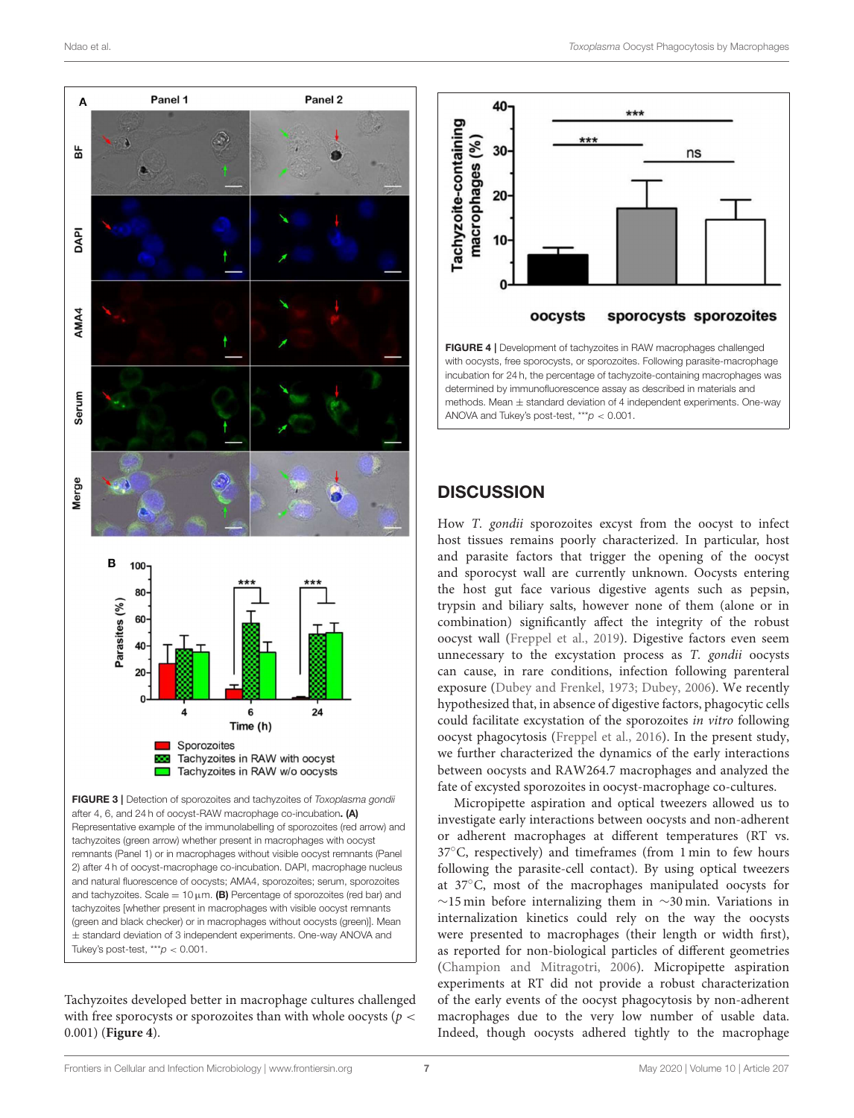

<span id="page-6-0"></span>Tachyzoites developed better in macrophage cultures challenged with free sporocysts or sporozoites than with whole oocysts ( $p <$ 0.001) (**[Figure 4](#page-6-1)**).



<span id="page-6-1"></span>with oocysts, free sporocysts, or sporozoites. Following parasite-macrophage incubation for 24 h, the percentage of tachyzoite-containing macrophages was determined by immunofluorescence assay as described in materials and methods. Mean  $\pm$  standard deviation of 4 independent experiments. One-way ANOVA and Tukey's post-test,  $***p < 0.001$ .

#### **DISCUSSION**

How T. gondii sporozoites excyst from the oocyst to infect host tissues remains poorly characterized. In particular, host and parasite factors that trigger the opening of the oocyst and sporocyst wall are currently unknown. Oocysts entering the host gut face various digestive agents such as pepsin, trypsin and biliary salts, however none of them (alone or in combination) significantly affect the integrity of the robust oocyst wall [\(Freppel et al., 2019\)](#page-8-1). Digestive factors even seem unnecessary to the excystation process as T. gondii oocysts can cause, in rare conditions, infection following parenteral exposure [\(Dubey and Frenkel, 1973;](#page-8-6) [Dubey, 2006\)](#page-8-9). We recently hypothesized that, in absence of digestive factors, phagocytic cells could facilitate excystation of the sporozoites in vitro following oocyst phagocytosis [\(Freppel et al., 2016\)](#page-8-7). In the present study, we further characterized the dynamics of the early interactions between oocysts and RAW264.7 macrophages and analyzed the fate of excysted sporozoites in oocyst-macrophage co-cultures.

Micropipette aspiration and optical tweezers allowed us to investigate early interactions between oocysts and non-adherent or adherent macrophages at different temperatures (RT vs. 37◦C, respectively) and timeframes (from 1 min to few hours following the parasite-cell contact). By using optical tweezers at 37◦C, most of the macrophages manipulated oocysts for ∼15 min before internalizing them in ∼30 min. Variations in internalization kinetics could rely on the way the oocysts were presented to macrophages (their length or width first), as reported for non-biological particles of different geometries [\(Champion and Mitragotri, 2006\)](#page-8-10). Micropipette aspiration experiments at RT did not provide a robust characterization of the early events of the oocyst phagocytosis by non-adherent macrophages due to the very low number of usable data. Indeed, though oocysts adhered tightly to the macrophage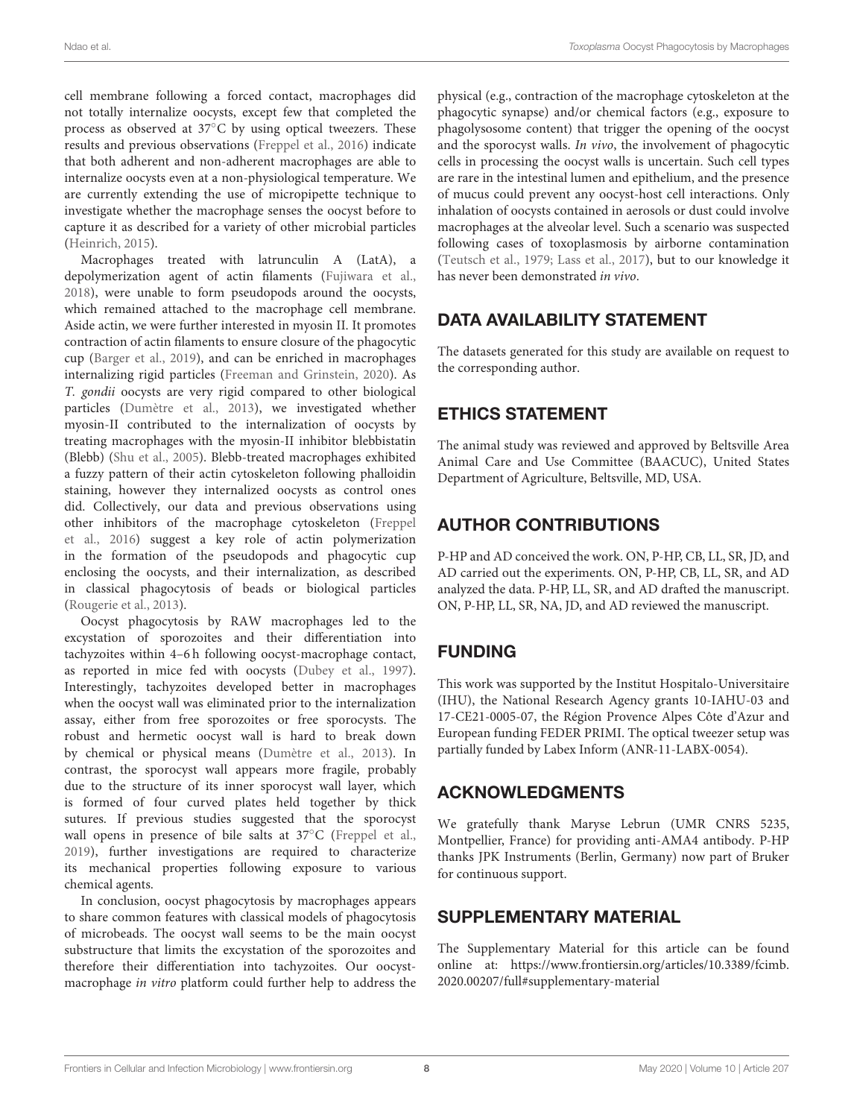cell membrane following a forced contact, macrophages did not totally internalize oocysts, except few that completed the process as observed at 37◦C by using optical tweezers. These results and previous observations [\(Freppel et al., 2016\)](#page-8-7) indicate that both adherent and non-adherent macrophages are able to internalize oocysts even at a non-physiological temperature. We are currently extending the use of micropipette technique to investigate whether the macrophage senses the oocyst before to capture it as described for a variety of other microbial particles [\(Heinrich, 2015\)](#page-8-11).

Macrophages treated with latrunculin A (LatA), a depolymerization agent of actin filaments [\(Fujiwara et al.,](#page-8-12) [2018\)](#page-8-12), were unable to form pseudopods around the oocysts, which remained attached to the macrophage cell membrane. Aside actin, we were further interested in myosin II. It promotes contraction of actin filaments to ensure closure of the phagocytic cup [\(Barger et al., 2019\)](#page-8-13), and can be enriched in macrophages internalizing rigid particles [\(Freeman and Grinstein, 2020\)](#page-8-14). As T. gondii oocysts are very rigid compared to other biological particles [\(Dumètre et al., 2013\)](#page-8-5), we investigated whether myosin-II contributed to the internalization of oocysts by treating macrophages with the myosin-II inhibitor blebbistatin (Blebb) [\(Shu et al., 2005\)](#page-8-15). Blebb-treated macrophages exhibited a fuzzy pattern of their actin cytoskeleton following phalloidin staining, however they internalized oocysts as control ones did. Collectively, our data and previous observations using other inhibitors of the macrophage cytoskeleton (Freppel et al., [2016\)](#page-8-7) suggest a key role of actin polymerization in the formation of the pseudopods and phagocytic cup enclosing the oocysts, and their internalization, as described in classical phagocytosis of beads or biological particles [\(Rougerie et al., 2013\)](#page-8-16).

Oocyst phagocytosis by RAW macrophages led to the excystation of sporozoites and their differentiation into tachyzoites within 4–6 h following oocyst-macrophage contact, as reported in mice fed with oocysts [\(Dubey et al., 1997\)](#page-8-17). Interestingly, tachyzoites developed better in macrophages when the oocyst wall was eliminated prior to the internalization assay, either from free sporozoites or free sporocysts. The robust and hermetic oocyst wall is hard to break down by chemical or physical means [\(Dumètre et al., 2013\)](#page-8-5). In contrast, the sporocyst wall appears more fragile, probably due to the structure of its inner sporocyst wall layer, which is formed of four curved plates held together by thick sutures. If previous studies suggested that the sporocyst wall opens in presence of bile salts at 37◦C [\(Freppel et al.,](#page-8-1) [2019\)](#page-8-1), further investigations are required to characterize its mechanical properties following exposure to various chemical agents.

In conclusion, oocyst phagocytosis by macrophages appears to share common features with classical models of phagocytosis of microbeads. The oocyst wall seems to be the main oocyst substructure that limits the excystation of the sporozoites and therefore their differentiation into tachyzoites. Our oocystmacrophage in vitro platform could further help to address the physical (e.g., contraction of the macrophage cytoskeleton at the phagocytic synapse) and/or chemical factors (e.g., exposure to phagolysosome content) that trigger the opening of the oocyst and the sporocyst walls. In vivo, the involvement of phagocytic cells in processing the oocyst walls is uncertain. Such cell types are rare in the intestinal lumen and epithelium, and the presence of mucus could prevent any oocyst-host cell interactions. Only inhalation of oocysts contained in aerosols or dust could involve macrophages at the alveolar level. Such a scenario was suspected following cases of toxoplasmosis by airborne contamination [\(Teutsch et al., 1979;](#page-8-18) [Lass et al., 2017\)](#page-8-19), but to our knowledge it has never been demonstrated in vivo.

# DATA AVAILABILITY STATEMENT

The datasets generated for this study are available on request to the corresponding author.

# ETHICS STATEMENT

The animal study was reviewed and approved by Beltsville Area Animal Care and Use Committee (BAACUC), United States Department of Agriculture, Beltsville, MD, USA.

# AUTHOR CONTRIBUTIONS

P-HP and AD conceived the work. ON, P-HP, CB, LL, SR, JD, and AD carried out the experiments. ON, P-HP, CB, LL, SR, and AD analyzed the data. P-HP, LL, SR, and AD drafted the manuscript. ON, P-HP, LL, SR, NA, JD, and AD reviewed the manuscript.

# FUNDING

This work was supported by the Institut Hospitalo-Universitaire (IHU), the National Research Agency grants 10-IAHU-03 and 17-CE21-0005-07, the Région Provence Alpes Côte d'Azur and European funding FEDER PRIMI. The optical tweezer setup was partially funded by Labex Inform (ANR-11-LABX-0054).

# ACKNOWLEDGMENTS

We gratefully thank Maryse Lebrun (UMR CNRS 5235, Montpellier, France) for providing anti-AMA4 antibody. P-HP thanks JPK Instruments (Berlin, Germany) now part of Bruker for continuous support.

# SUPPLEMENTARY MATERIAL

<span id="page-7-0"></span>The Supplementary Material for this article can be found [online at: https://www.frontiersin.org/articles/10.3389/fcimb.](https://www.frontiersin.org/articles/10.3389/fcimb.2020.00207/full#supplementary-material) 2020.00207/full#supplementary-material